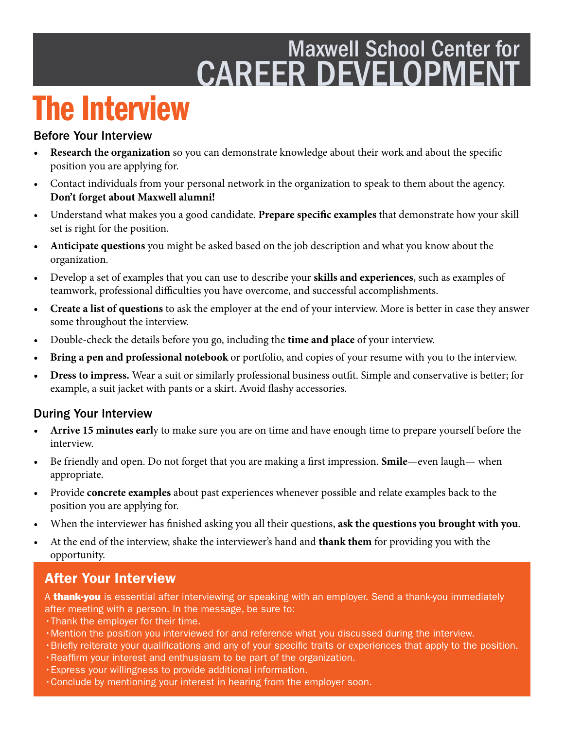# Maxwell School Center for CAREER DEVELOPMENT

# The Interview

#### Before Your Interview

- **Research the organization** so you can demonstrate knowledge about their work and about the specifc position you are applying for.
- Contact individuals from your personal network in the organization to speak to them about the agency. **Don't forget about Maxwell alumni!**
- Understand what makes you a good candidate. **Prepare specifc examples** that demonstrate how your skill set is right for the position.
- **Anticipate questions** you might be asked based on the job description and what you know about the organization.
- Develop a set of examples that you can use to describe your **skills and experiences**, such as examples of teamwork, professional difficulties you have overcome, and successful accomplishments.
- **Create a list of questions** to ask the employer at the end of your interview. More is better in case they answer some throughout the interview.
- Double-check the details before you go, including the **time and place** of your interview.
- **Bring a pen and professional notebook** or portfolio, and copies of your resume with you to the interview.
- **Dress to impress.** Wear a suit or similarly professional business outft. Simple and conservative is better; for example, a suit jacket with pants or a skirt. Avoid fashy accessories.

### During Your Interview

- **Arrive 15 minutes earl**y to make sure you are on time and have enough time to prepare yourself before the interview.
- Be friendly and open. Do not forget that you are making a frst impression. **Smile**—even laugh— when appropriate.
- Provide **concrete examples** about past experiences whenever possible and relate examples back to the position you are applying for.
- When the interviewer has fnished asking you all their questions, **ask the questions you brought with you**.
- At the end of the interview, shake the interviewer's hand and **thank them** for providing you with the opportunity.

### After Your Interview

A **thank-you** is essential after interviewing or speaking with an employer. Send a thank-you immediately after meeting with a person. In the message, be sure to:

- •Thank the employer for their time.
- •Mention the position you interviewed for and reference what you discussed during the interview.
- •Briefy reiterate your qualifcations and any of your specifc traits or experiences that apply to the position.
- •Reaffrm your interest and enthusiasm to be part of the organization.
- •Express your willingness to provide additional information.
- •Conclude by mentioning your interest in hearing from the employer soon.